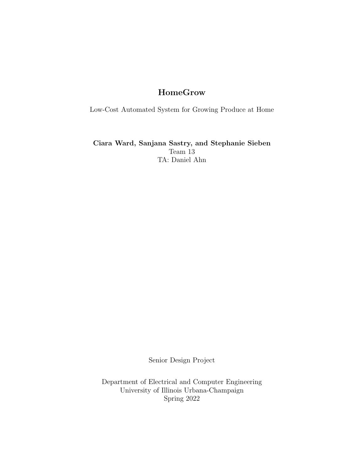# HomeGrow

Low-Cost Automated System for Growing Produce at Home

Ciara Ward, Sanjana Sastry, and Stephanie Sieben Team 13 TA: Daniel Ahn

Senior Design Project

Department of Electrical and Computer Engineering University of Illinois Urbana-Champaign Spring 2022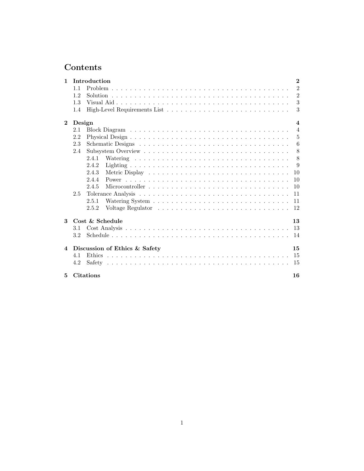# Contents

| $\mathbf{1}$   |        | Introduction                  |  |  |  |  |  |  |  |  |  |  |  |  | $\overline{2}$          |
|----------------|--------|-------------------------------|--|--|--|--|--|--|--|--|--|--|--|--|-------------------------|
|                | 11     |                               |  |  |  |  |  |  |  |  |  |  |  |  | $\overline{2}$          |
|                | 1.2    |                               |  |  |  |  |  |  |  |  |  |  |  |  | $\overline{2}$          |
|                | 1.3    |                               |  |  |  |  |  |  |  |  |  |  |  |  | 3                       |
|                | 1.4    |                               |  |  |  |  |  |  |  |  |  |  |  |  | 3                       |
| $\mathbf{2}$   | Design |                               |  |  |  |  |  |  |  |  |  |  |  |  | $\overline{\mathbf{4}}$ |
|                | 2.1    |                               |  |  |  |  |  |  |  |  |  |  |  |  | $\overline{4}$          |
|                | 2.2    |                               |  |  |  |  |  |  |  |  |  |  |  |  | 5                       |
|                | 2.3    |                               |  |  |  |  |  |  |  |  |  |  |  |  | 6                       |
|                | 2.4    |                               |  |  |  |  |  |  |  |  |  |  |  |  | 8                       |
|                |        | 2.4.1                         |  |  |  |  |  |  |  |  |  |  |  |  | 8                       |
|                |        | 2.4.2                         |  |  |  |  |  |  |  |  |  |  |  |  | 9                       |
|                |        | 2.4.3                         |  |  |  |  |  |  |  |  |  |  |  |  | 10                      |
|                |        | 2.4.4                         |  |  |  |  |  |  |  |  |  |  |  |  | 10                      |
|                |        | 2.4.5                         |  |  |  |  |  |  |  |  |  |  |  |  | 10                      |
|                | 2.5    |                               |  |  |  |  |  |  |  |  |  |  |  |  | 11                      |
|                |        | 2.5.1                         |  |  |  |  |  |  |  |  |  |  |  |  | 11                      |
|                |        | 2.5.2                         |  |  |  |  |  |  |  |  |  |  |  |  | 12                      |
| $\mathbf{3}$   |        | Cost & Schedule               |  |  |  |  |  |  |  |  |  |  |  |  | 13                      |
|                | 3.1    |                               |  |  |  |  |  |  |  |  |  |  |  |  | 13                      |
|                | 3.2    |                               |  |  |  |  |  |  |  |  |  |  |  |  | 14                      |
| $\overline{4}$ |        | Discussion of Ethics & Safety |  |  |  |  |  |  |  |  |  |  |  |  | 15                      |
|                | 4.1    | <b>Ethics</b>                 |  |  |  |  |  |  |  |  |  |  |  |  | 15                      |
|                | 4.2    |                               |  |  |  |  |  |  |  |  |  |  |  |  | -15                     |
| 5.             |        | <b>Citations</b>              |  |  |  |  |  |  |  |  |  |  |  |  | 16                      |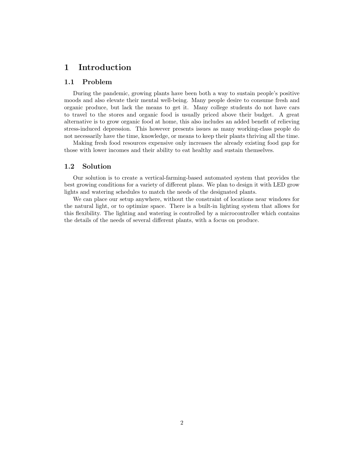## 1 Introduction

## 1.1 Problem

During the pandemic, growing plants have been both a way to sustain people's positive moods and also elevate their mental well-being. Many people desire to consume fresh and organic produce, but lack the means to get it. Many college students do not have cars to travel to the stores and organic food is usually priced above their budget. A great alternative is to grow organic food at home, this also includes an added benefit of relieving stress-induced depression. This however presents issues as many working-class people do not necessarily have the time, knowledge, or means to keep their plants thriving all the time.

Making fresh food resources expensive only increases the already existing food gap for those with lower incomes and their ability to eat healthy and sustain themselves.

### 1.2 Solution

Our solution is to create a vertical-farming-based automated system that provides the best growing conditions for a variety of different plans. We plan to design it with LED grow lights and watering schedules to match the needs of the designated plants.

We can place our setup anywhere, without the constraint of locations near windows for the natural light, or to optimize space. There is a built-in lighting system that allows for this flexibility. The lighting and watering is controlled by a microcontroller which contains the details of the needs of several different plants, with a focus on produce.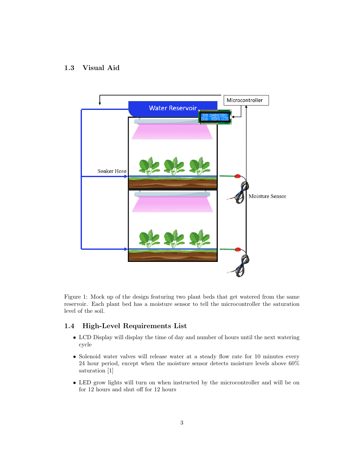## 1.3 Visual Aid



Figure 1: Mock up of the design featuring two plant beds that get watered from the same reservoir. Each plant bed has a moisture sensor to tell the microcontroller the saturation level of the soil.

### 1.4 High-Level Requirements List

- LCD Display will display the time of day and number of hours until the next watering cycle
- Solenoid water valves will release water at a steady flow rate for 10 minutes every 24 hour period, except when the moisture sensor detects moisture levels above 60% saturation [1]
- LED grow lights will turn on when instructed by the microcontroller and will be on for 12 hours and shut off for 12 hours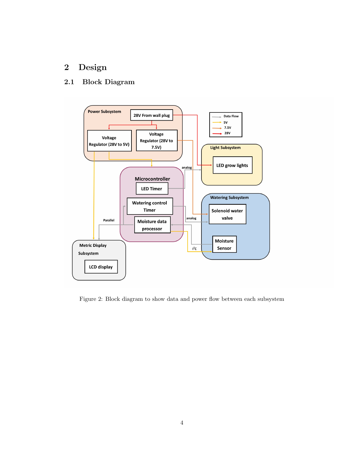# 2 Design

## 2.1 Block Diagram



Figure 2: Block diagram to show data and power flow between each subsystem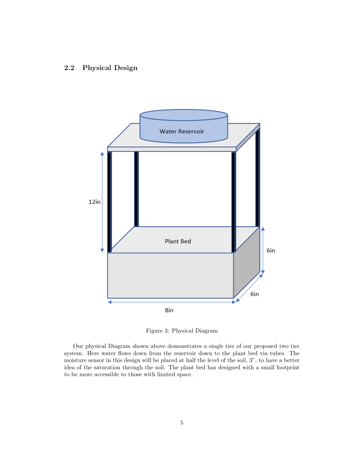### 2.2 Physical Design



Figure 3: Physical Diagram

Our physical Diagram shown above demonstrates a single tier of our proposed two tier system. Here water flows down from the reservoir down to the plant bed via tubes. The moisture sensor in this design will be placed at half the level of the soil, 3", to have a better idea of the saturation through the soil. The plant bed has designed with a small footprint to be more accessible to those with limited space.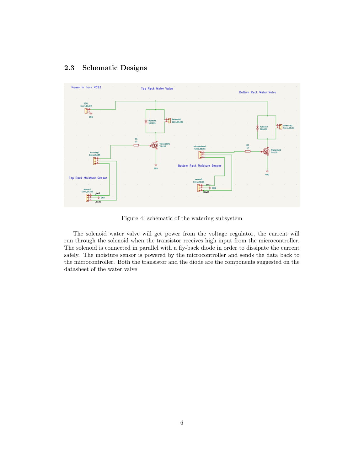## 2.3 Schematic Designs



Figure 4: schematic of the watering subsystem

The solenoid water valve will get power from the voltage regulator, the current will run through the solenoid when the transistor receives high input from the microcontroller. The solenoid is connected in parallel with a fly-back diode in order to dissipate the current safely. The moisture sensor is powered by the microcontroller and sends the data back to the microcontroller. Both the transistor and the diode are the components suggested on the datasheet of the water valve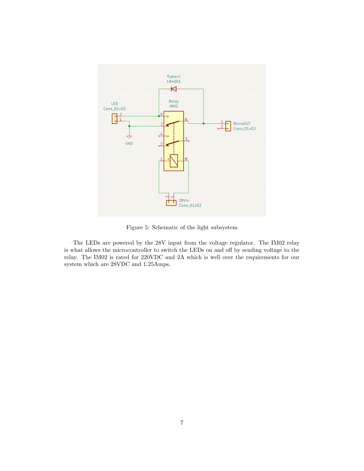

Figure 5: Schematic of the light subsystem

The LEDs are powered by the 28V input from the voltage regulator. The IM02 relay is what allows the microcontroller to switch the LEDs on and off by sending voltage to the relay. The IM02 is rated for 220VDC and 2A which is well over the requirements for our system which are 28VDC and 1.25Amps.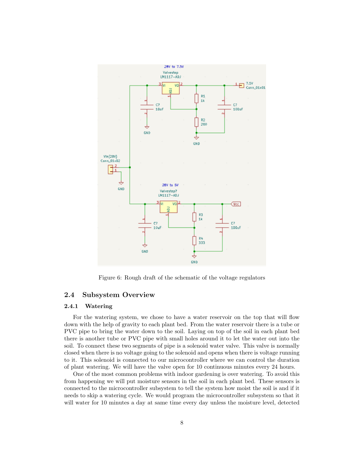

Figure 6: Rough draft of the schematic of the voltage regulators

### 2.4 Subsystem Overview

### 2.4.1 Watering

For the watering system, we chose to have a water reservoir on the top that will flow down with the help of gravity to each plant bed. From the water reservoir there is a tube or PVC pipe to bring the water down to the soil. Laying on top of the soil in each plant bed there is another tube or PVC pipe with small holes around it to let the water out into the soil. To connect these two segments of pipe is a solenoid water valve. This valve is normally closed when there is no voltage going to the solenoid and opens when there is voltage running to it. This solenoid is connected to our microcontroller where we can control the duration of plant watering. We will have the valve open for 10 continuous minutes every 24 hours.

One of the most common problems with indoor gardening is over watering. To avoid this from happening we will put moisture sensors in the soil in each plant bed. These sensors is connected to the microcontroller subsystem to tell the system how moist the soil is and if it needs to skip a watering cycle. We would program the microcontroller subsystem so that it will water for 10 minutes a day at same time every day unless the moisture level, detected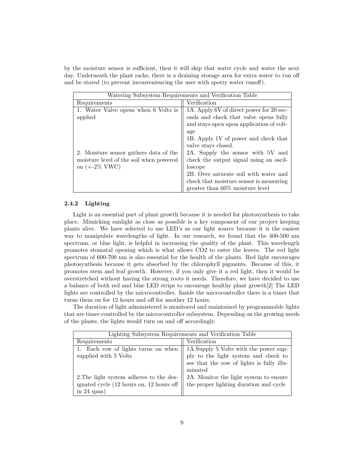by the moisture sensor is sufficient, then it will skip that water cycle and water the next day. Underneath the plant racks, there is a draining storage area for extra water to run off and be stored (to prevent inconveniencing the user with spotty water runoff).

| Watering Subsystem Requirements and Verification Table |                                          |  |  |  |  |
|--------------------------------------------------------|------------------------------------------|--|--|--|--|
| Requirements                                           | Verification                             |  |  |  |  |
| 1. Water Valve opens when 6 Volts is                   | 1A. Apply 6V of direct power for 20 sec- |  |  |  |  |
| applied                                                | onds and check that valve opens fully    |  |  |  |  |
|                                                        | and stays open upon application of volt- |  |  |  |  |
|                                                        | age                                      |  |  |  |  |
|                                                        | 1B. Apply 1V of power and check that     |  |  |  |  |
|                                                        | valve stays closed.                      |  |  |  |  |
| 2. Moisture sensor gathers data of the                 | 2A. Supply the sensor with 5V and        |  |  |  |  |
| moisture level of the soil when powered                | check the output signal using an oscil-  |  |  |  |  |
| on $(+-2\%$ VWC)                                       | loscope                                  |  |  |  |  |
|                                                        | 2B. Over saturate soil with water and    |  |  |  |  |
|                                                        | check that moisture sensor is measuring  |  |  |  |  |
|                                                        | greater than $60\%$ moisture level       |  |  |  |  |

#### 2.4.2 Lighting

Light is an essential part of plant growth because it is needed for photosynthesis to take place. Mimicking sunlight as close as possible is a key component of our project keeping plants alive. We have selected to use LED's as our light source because it is the easiest way to manipulate wavelengths of light. In our research, we found that the 400-500 nm spectrum, or blue light, is helpful in increasing the quality of the plant. This wavelength promotes stomatal opening which is what allows CO2 to enter the leaves. The red light spectrum of 600-700 nm is also essential for the health of the plants. Red light encourages photosynthesis because it gets absorbed by the chlorophyll pigments. Because of this, it promotes stem and leaf growth. However, if you only give it a red light, then it would be overstretched without having the strong roots it needs. Therefore, we have decided to use a balance of both red and blue LED strips to encourage healthy plant growth[2] The LED lights are controlled by the microcontroller. Inside the microcontroller there is a timer that turns them on for 12 hours and off for another 12 hours.

The duration of light administered is monitored and maintained by programmable lights that are timer-controlled by the microcontroller subsystem. Depending on the growing needs of the plants, the lights would turn on and off accordingly.

| Lighting Subsystem Requirements and Verification Table |                                                                          |  |  |  |  |
|--------------------------------------------------------|--------------------------------------------------------------------------|--|--|--|--|
| Requirements                                           | Verification                                                             |  |  |  |  |
| Each row of lights turns on when                       | 1A.Supply 5 Volts with the power supply to the light system and check to |  |  |  |  |
| supplied with 5 Volts                                  |                                                                          |  |  |  |  |
|                                                        | see that the row of lights is fully illu-                                |  |  |  |  |
|                                                        | minated                                                                  |  |  |  |  |
| 2. The light system adheres to the des-                | 2A. Monitor the light system to ensure                                   |  |  |  |  |
| ignated cycle (12 hours on, 12 hours off               | the proper lighting duration and cycle                                   |  |  |  |  |
| in $24$ span)                                          |                                                                          |  |  |  |  |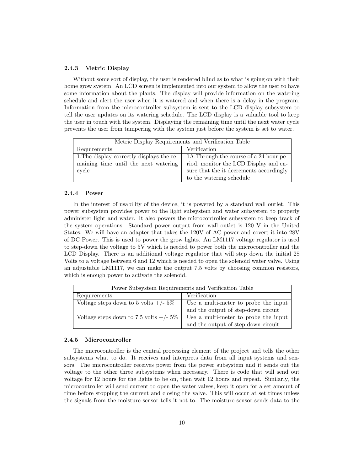#### 2.4.3 Metric Display

Without some sort of display, the user is rendered blind as to what is going on with their home grow system. An LCD screen is implemented into our system to allow the user to have some information about the plants. The display will provide information on the watering schedule and alert the user when it is watered and when there is a delay in the program. Information from the microcontroller subsystem is sent to the LCD display subsystem to tell the user updates on its watering schedule. The LCD display is a valuable tool to keep the user in touch with the system. Displaying the remaining time until the next water cycle prevents the user from tampering with the system just before the system is set to water.

| Metric Display Requirements and Verification Table |                                                         |  |  |  |  |
|----------------------------------------------------|---------------------------------------------------------|--|--|--|--|
| Requirements                                       | Verification                                            |  |  |  |  |
| 1. The display correctly displays the re-          | 1A. Through the course of a 24 hour pe-                 |  |  |  |  |
| maining time until the next watering               | riod, monitor the LCD Display and en-                   |  |  |  |  |
| cycle                                              | sure that the it decrements accordingly $% \mathcal{N}$ |  |  |  |  |
|                                                    | to the watering schedule                                |  |  |  |  |

#### 2.4.4 Power

In the interest of usability of the device, it is powered by a standard wall outlet. This power subsystem provides power to the light subsystem and water subsystem to properly administer light and water. It also powers the microcontroller subsystem to keep track of the system operations. Standard power output from wall outlet is 120 V in the United States. We will have an adapter that takes the 120V of AC power and covert it into 28V of DC Power. This is used to power the grow lights. An LM1117 voltage regulator is used to step-down the voltage to 5V which is needed to power both the microcontroller and the LCD Display. There is an additional voltage regulator that will step down the initial 28 Volts to a voltage between 6 and 12 which is needed to open the solenoid water valve. Using an adjustable LM1117, we can make the output 7.5 volts by choosing common resistors, which is enough power to activate the solenoid.

| Power Subsystem Requirements and Verification Table |                                                                             |  |  |  |
|-----------------------------------------------------|-----------------------------------------------------------------------------|--|--|--|
| Requirements                                        | Verification                                                                |  |  |  |
| Voltage steps down to 5 volts $+/- 5\%$             | Use a multi-meter to probe the input<br>and the output of step-down circuit |  |  |  |
|                                                     |                                                                             |  |  |  |
| Voltage steps down to 7.5 volts $+/- 5\%$           |                                                                             |  |  |  |
|                                                     | Use a multi-meter to probe the input<br>and the output of step-down circuit |  |  |  |

#### 2.4.5 Microcontroller

The microcontroller is the central processing element of the project and tells the other subsystems what to do. It receives and interprets data from all input systems and sensors. The microcontroller receives power from the power subsystem and it sends out the voltage to the other three subsystems when necessary. There is code that will send out voltage for 12 hours for the lights to be on, then wait 12 hours and repeat. Similarly, the microcontroller will send current to open the water valves, keep it open for a set amount of time before stopping the current and closing the valve. This will occur at set times unless the signals from the moisture sensor tells it not to. The moisture sensor sends data to the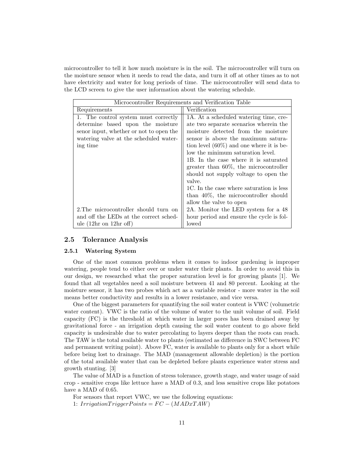microcontroller to tell it how much moisture is in the soil. The microcontroller will turn on the moisture sensor when it needs to read the data, and turn it off at other times as to not have electricity and water for long periods of time. The microcontroller will send data to the LCD screen to give the user information about the watering schedule.

| Microcontroller Requirements and Verification Table |                                             |  |  |  |
|-----------------------------------------------------|---------------------------------------------|--|--|--|
| Requirements                                        | Verification                                |  |  |  |
| 1. The control system must correctly                | 1A. At a scheduled watering time, cre-      |  |  |  |
| determine based upon the moisture                   | ate two separate scenarios wherein the      |  |  |  |
| senor input, whether or not to open the             | moisture detected from the moisture         |  |  |  |
| watering valve at the scheduled water-              | sensor is above the maximum satura-         |  |  |  |
| ing time                                            | tion level $(60\%)$ and one where it is be- |  |  |  |
|                                                     | low the minimum saturation level.           |  |  |  |
|                                                     | 1B. In the case where it is saturated       |  |  |  |
|                                                     | greater than $60\%$ , the microcontroller   |  |  |  |
|                                                     | should not supply voltage to open the       |  |  |  |
|                                                     | valve.                                      |  |  |  |
|                                                     | 1C. In the case where saturation is less    |  |  |  |
|                                                     | than $40\%$ , the microcontroller should    |  |  |  |
|                                                     | allow the valve to open                     |  |  |  |
| 2. The microcontroller should turn on               | 2A. Monitor the LED system for a 48         |  |  |  |
| and off the LEDs at the correct sched-              | hour period and ensure the cycle is fol-    |  |  |  |
| ule $(12hr \text{ on } 12hr \text{ off})$           | lowed                                       |  |  |  |

#### 2.5 Tolerance Analysis

#### 2.5.1 Watering System

One of the most common problems when it comes to indoor gardening is improper watering, people tend to either over or under water their plants. In order to avoid this in our design, we researched what the proper saturation level is for growing plants [1]. We found that all vegetables need a soil moisture between 41 and 80 percent. Looking at the moisture sensor, it has two probes which act as a variable resistor - more water in the soil means better conductivity and results in a lower resistance, and vice versa.

One of the biggest parameters for quantifying the soil water content is VWC (volumetric water content). VWC is the ratio of the volume of water to the unit volume of soil. Field capacity (FC) is the threshold at which water in larger pores has been drained away by gravitational force - an irrigation depth causing the soil water content to go above field capacity is undesirable due to water percolating to layers deeper than the roots can reach. The TAW is the total available water to plants (estimated as difference in SWC between FC and permanent writing point). Above FC, water is available to plants only for a short while before being lost to drainage. The MAD (management allowable depletion) is the portion of the total available water that can be depleted before plants experience water stress and growth stunting. [3]

The value of MAD is a function of stress tolerance, growth stage, and water usage of said crop - sensitive crops like lettuce have a MAD of 0.3, and less sensitive crops like potatoes have a MAD of 0.65.

For sensors that report VWC, we use the following equations:

1:  $IrriqationTriqger Points = FC - (MAPxTAW)$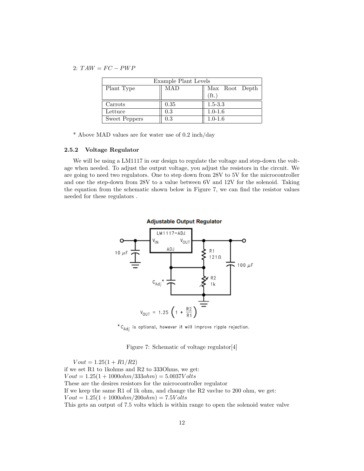2:  $TAW = FC - PWP$ 

| Example Plant Levels |            |                |  |  |  |  |  |  |
|----------------------|------------|----------------|--|--|--|--|--|--|
| Plant Type           | <b>MAD</b> | Max Root Depth |  |  |  |  |  |  |
|                      |            | (ft.)          |  |  |  |  |  |  |
| Carrots              | 0.35       | $1.5 - 3.3$    |  |  |  |  |  |  |
| Lettuce              | 0.3        | $1.0 - 1.6$    |  |  |  |  |  |  |
| <b>Sweet Peppers</b> | 0.3        | $1.0 - 1.6$    |  |  |  |  |  |  |

\* Above MAD values are for water use of 0.2 inch/day

#### 2.5.2 Voltage Regulator

We will be using a LM1117 in our design to regulate the voltage and step-down the voltage when needed. To adjust the output voltage, you adjust the resistors in the circuit. We are going to need two regulators. One to step down from 28V to 5V for the microcontroller and one the step-down from 28V to a value between 6V and 12V for the solenoid. Taking the equation from the schematic shown below in Figure 7, we can find the resistor values needed for these regulators .



 $^* \text{C}_{\text{Adj}}$  is optional, however it will improve ripple rejection.

Figure 7: Schematic of voltage regulator[4]

 $Vout = 1.25(1 + R1/R2)$ if we set R1 to 1kohms and R2 to 333Ohms, we get:  $Vout = 1.25(1 + 1000ohm/333ohm) = 5.0037Volts$ These are the desires resistors for the microcontroller regulator If we keep the same R1 of 1k ohm, and change the R2 vavlue to 200 ohm, we get:  $Vout = 1.25(1 + 1000ohm/200ohm) = 7.5Volts$ This gets an output of 7.5 volts which is within range to open the solenoid water valve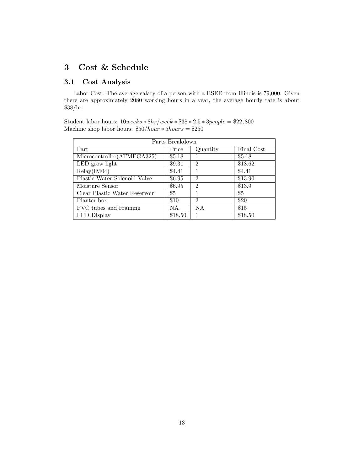# 3 Cost & Schedule

## 3.1 Cost Analysis

Labor Cost: The average salary of a person with a BSEE from Illinois is 79,000. Given there are approximately 2080 working hours in a year, the average hourly rate is about \$38/hr.

|  | Student labor hours: $10 weeks * 8hr/week * $38 * 2.5 * 3 people = $22,800$ |  |
|--|-----------------------------------------------------------------------------|--|
|  | Machine shop labor hours: $$50/hour * 5 hours = $250$                       |  |

| Parts Breakdown               |         |                |            |  |  |  |  |
|-------------------------------|---------|----------------|------------|--|--|--|--|
| Part                          | Price   | Quantity       | Final Cost |  |  |  |  |
| Microcontroller (ATMEGA325)   | \$5.18  |                | \$5.18     |  |  |  |  |
| LED grow light                | \$9.31  | $\mathfrak{D}$ | \$18.62    |  |  |  |  |
| Relay(IM04)                   | \$4.41  |                | \$4.41     |  |  |  |  |
| Plastic Water Solenoid Valve  | \$6.95  | $\mathfrak{D}$ | \$13.90    |  |  |  |  |
| Moisture Sensor               | \$6.95  | $\overline{2}$ | \$13.9     |  |  |  |  |
| Clear Plastic Water Reservoir | \$5     |                | \$5        |  |  |  |  |
| Planter box                   | \$10    | $\mathfrak{D}$ | \$20       |  |  |  |  |
| PVC tubes and Framing         | NA.     | NA.            | \$15       |  |  |  |  |
| LCD Display                   | \$18.50 |                | \$18.50    |  |  |  |  |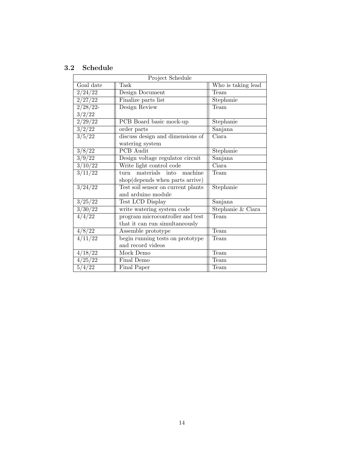## 3.2 Schedule

| Project Schedule    |                                    |                    |  |  |  |  |  |
|---------------------|------------------------------------|--------------------|--|--|--|--|--|
| Goal date           | Task                               | Who is taking lead |  |  |  |  |  |
| 2/24/22             | Design Document                    | Team               |  |  |  |  |  |
| 2/27/22             | Finalize parts list                | Stephanie          |  |  |  |  |  |
| $2/28/22$ -         | Design Review                      | Team               |  |  |  |  |  |
| 3/2/22              |                                    |                    |  |  |  |  |  |
| 2/29/22             | PCB Board basic mock-up            | Stephanie          |  |  |  |  |  |
| 3/2/22              | order parts                        | Sanjana            |  |  |  |  |  |
| 3/5/22              | discuss design and dimensions of   | Ciara              |  |  |  |  |  |
|                     | watering system                    |                    |  |  |  |  |  |
| 3/8/22              | <b>PCB</b> Audit                   | Stephanie          |  |  |  |  |  |
| $3/9\overline{22}$  | Design voltage regulator circuit   | Sanjana            |  |  |  |  |  |
| $\frac{3}{10/22}$   | Write light control code           | Ciara              |  |  |  |  |  |
| 3/11/22             | materials into<br>machine<br>turn  | Team               |  |  |  |  |  |
|                     | shop(depends when parts arrive)    |                    |  |  |  |  |  |
| 3/24/22             | Test soil sensor on current plants | Stephanie          |  |  |  |  |  |
|                     | and arduino module                 |                    |  |  |  |  |  |
| 3/25/22             | Test LCD Display                   | Sanjana            |  |  |  |  |  |
| 3/30/22             | write watering system code         | Stephanie & Ciara  |  |  |  |  |  |
| $\frac{4}{4/22}$    | program microcontroller and test   | Team               |  |  |  |  |  |
|                     | that it can run simultaneously     |                    |  |  |  |  |  |
| 4/8/22              | Assemble prototype                 | Team               |  |  |  |  |  |
| $\frac{1}{4/11/22}$ | begin running tests on prototype   | Team               |  |  |  |  |  |
|                     | and record videos                  |                    |  |  |  |  |  |
| 4/18/22             | Mock Demo                          | Team               |  |  |  |  |  |
| 4/25/22             | Final Demo                         | Team               |  |  |  |  |  |
| 5/4/22              | Final Paper                        | Team               |  |  |  |  |  |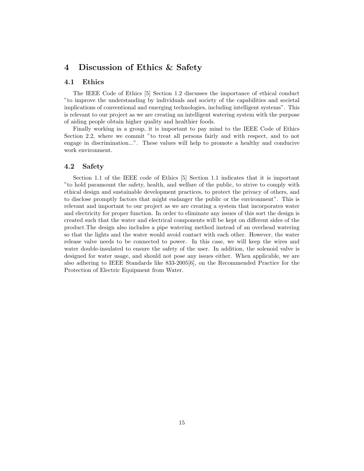## 4 Discussion of Ethics & Safety

## 4.1 Ethics

The IEEE Code of Ethics [5] Section 1.2 discusses the importance of ethical conduct "to improve the understanding by individuals and society of the capabilities and societal implications of conventional and emerging technologies, including intelligent systems". This is relevant to our project as we are creating an intelligent watering system with the purpose of aiding people obtain higher quality and healthier foods.

Finally working in a group, it is important to pay mind to the IEEE Code of Ethics Section 2.2, where we commit "to treat all persons fairly and with respect, and to not engage in discrimination...". These values will help to promote a healthy and conducive work environment.

### 4.2 Safety

Section 1.1 of the IEEE code of Ethics [5] Section 1.1 indicates that it is important "to hold paramount the safety, health, and welfare of the public, to strive to comply with ethical design and sustainable development practices, to protect the privacy of others, and to disclose promptly factors that might endanger the public or the environment". This is relevant and important to our project as we are creating a system that incorporates water and electricity for proper function. In order to eliminate any issues of this sort the design is created such that the water and electrical components will be kept on different sides of the product.The design also includes a pipe watering method instead of an overhead watering so that the lights and the water would avoid contact with each other. However, the water release valve needs to be connected to power. In this case, we will keep the wires and water double-insulated to ensure the safety of the user. In addition, the solenoid valve is designed for water usage, and should not pose any issues either. When applicable, we are also adhering to IEEE Standards like 833-2005[6], on the Recommended Practice for the Protection of Electric Equipment from Water.